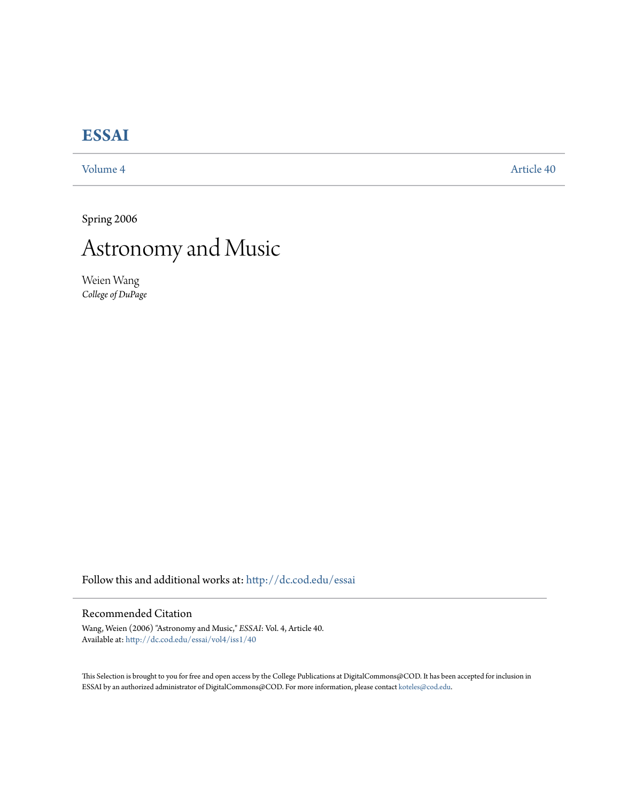## **[ESSAI](http://dc.cod.edu/essai?utm_source=dc.cod.edu%2Fessai%2Fvol4%2Fiss1%2F40&utm_medium=PDF&utm_campaign=PDFCoverPages)**

[Volume 4](http://dc.cod.edu/essai/vol4?utm_source=dc.cod.edu%2Fessai%2Fvol4%2Fiss1%2F40&utm_medium=PDF&utm_campaign=PDFCoverPages) [Article 40](http://dc.cod.edu/essai/vol4/iss1/40?utm_source=dc.cod.edu%2Fessai%2Fvol4%2Fiss1%2F40&utm_medium=PDF&utm_campaign=PDFCoverPages)

Spring 2006

## Astronomy and Music

Weien Wang *College of DuPage*

Follow this and additional works at: [http://dc.cod.edu/essai](http://dc.cod.edu/essai?utm_source=dc.cod.edu%2Fessai%2Fvol4%2Fiss1%2F40&utm_medium=PDF&utm_campaign=PDFCoverPages)

## Recommended Citation

Wang, Weien (2006) "Astronomy and Music," *ESSAI*: Vol. 4, Article 40. Available at: [http://dc.cod.edu/essai/vol4/iss1/40](http://dc.cod.edu/essai/vol4/iss1/40?utm_source=dc.cod.edu%2Fessai%2Fvol4%2Fiss1%2F40&utm_medium=PDF&utm_campaign=PDFCoverPages)

This Selection is brought to you for free and open access by the College Publications at DigitalCommons@COD. It has been accepted for inclusion in ESSAI by an authorized administrator of DigitalCommons@COD. For more information, please contact [koteles@cod.edu](mailto:koteles@cod.edu).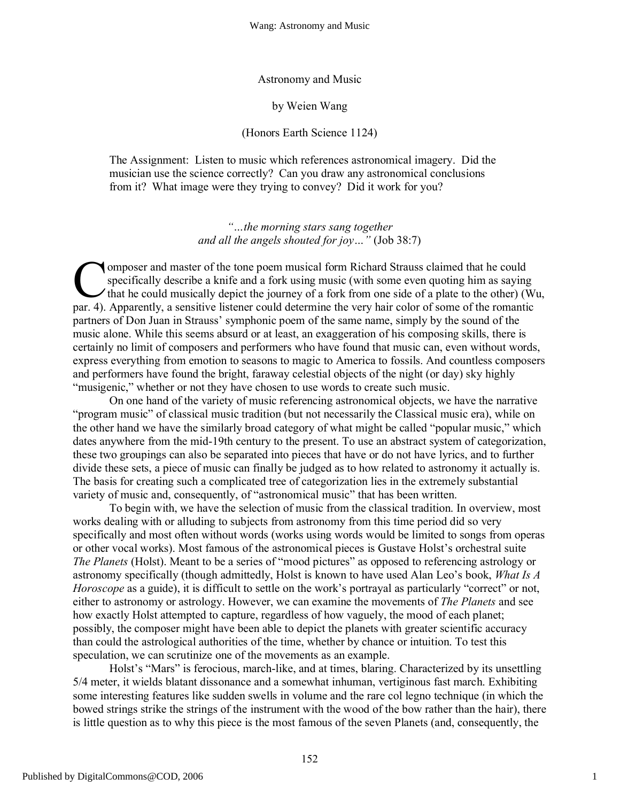Astronomy and Music

by Weien Wang

(Honors Earth Science 1124)

The Assignment: Listen to music which references astronomical imagery. Did the musician use the science correctly? Can you draw any astronomical conclusions from it? What image were they trying to convey? Did it work for you?

> *"…the morning stars sang together and all the angels shouted for joy…"* (Job 38:7)

omposer and master of the tone poem musical form Richard Strauss claimed that he could specifically describe a knife and a fork using music (with some even quoting him as saying that he could musically depict the journey of a fork from one side of a plate to the other) (Wu, **Composer and master of the tone poem musical form Richard Strauss claimed that he could specifically describe a knife and a fork using music (with some even quoting him as saying that he could musically depict the journey** partners of Don Juan in Strauss' symphonic poem of the same name, simply by the sound of the music alone. While this seems absurd or at least, an exaggeration of his composing skills, there is certainly no limit of composers and performers who have found that music can, even without words, express everything from emotion to seasons to magic to America to fossils. And countless composers and performers have found the bright, faraway celestial objects of the night (or day) sky highly "musigenic," whether or not they have chosen to use words to create such music.

On one hand of the variety of music referencing astronomical objects, we have the narrative "program music" of classical music tradition (but not necessarily the Classical music era), while on the other hand we have the similarly broad category of what might be called "popular music," which dates anywhere from the mid-19th century to the present. To use an abstract system of categorization, these two groupings can also be separated into pieces that have or do not have lyrics, and to further divide these sets, a piece of music can finally be judged as to how related to astronomy it actually is. The basis for creating such a complicated tree of categorization lies in the extremely substantial variety of music and, consequently, of "astronomical music" that has been written.

To begin with, we have the selection of music from the classical tradition. In overview, most works dealing with or alluding to subjects from astronomy from this time period did so very specifically and most often without words (works using words would be limited to songs from operas or other vocal works). Most famous of the astronomical pieces is Gustave Holst's orchestral suite *The Planets* (Holst). Meant to be a series of "mood pictures" as opposed to referencing astrology or astronomy specifically (though admittedly, Holst is known to have used Alan Leo's book, *What Is A Horoscope* as a guide), it is difficult to settle on the work's portrayal as particularly "correct" or not, either to astronomy or astrology. However, we can examine the movements of *The Planets* and see how exactly Holst attempted to capture, regardless of how vaguely, the mood of each planet; possibly, the composer might have been able to depict the planets with greater scientific accuracy than could the astrological authorities of the time, whether by chance or intuition. To test this speculation, we can scrutinize one of the movements as an example.

Holst's "Mars" is ferocious, march-like, and at times, blaring. Characterized by its unsettling 5/4 meter, it wields blatant dissonance and a somewhat inhuman, vertiginous fast march. Exhibiting some interesting features like sudden swells in volume and the rare col legno technique (in which the bowed strings strike the strings of the instrument with the wood of the bow rather than the hair), there is little question as to why this piece is the most famous of the seven Planets (and, consequently, the

1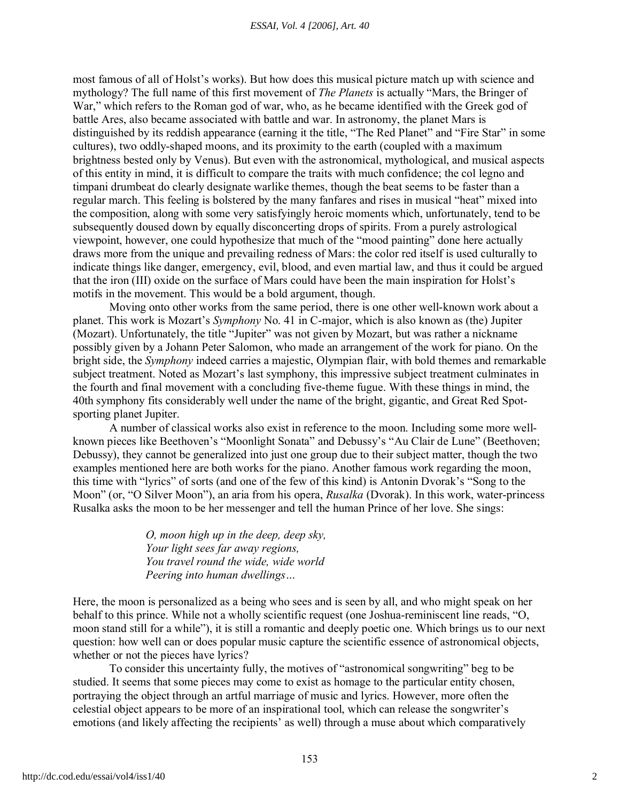most famous of all of Holst's works). But how does this musical picture match up with science and mythology? The full name of this first movement of *The Planets* is actually "Mars, the Bringer of War," which refers to the Roman god of war, who, as he became identified with the Greek god of battle Ares, also became associated with battle and war. In astronomy, the planet Mars is distinguished by its reddish appearance (earning it the title, "The Red Planet" and "Fire Star" in some cultures), two oddly-shaped moons, and its proximity to the earth (coupled with a maximum brightness bested only by Venus). But even with the astronomical, mythological, and musical aspects of this entity in mind, it is difficult to compare the traits with much confidence; the col legno and timpani drumbeat do clearly designate warlike themes, though the beat seems to be faster than a regular march. This feeling is bolstered by the many fanfares and rises in musical "heat" mixed into the composition, along with some very satisfyingly heroic moments which, unfortunately, tend to be subsequently doused down by equally disconcerting drops of spirits. From a purely astrological viewpoint, however, one could hypothesize that much of the "mood painting" done here actually draws more from the unique and prevailing redness of Mars: the color red itself is used culturally to indicate things like danger, emergency, evil, blood, and even martial law, and thus it could be argued that the iron (III) oxide on the surface of Mars could have been the main inspiration for Holst's motifs in the movement. This would be a bold argument, though.

Moving onto other works from the same period, there is one other well-known work about a planet. This work is Mozart's *Symphony* No. 41 in C-major, which is also known as (the) Jupiter (Mozart). Unfortunately, the title "Jupiter" was not given by Mozart, but was rather a nickname possibly given by a Johann Peter Salomon, who made an arrangement of the work for piano. On the bright side, the *Symphony* indeed carries a majestic, Olympian flair, with bold themes and remarkable subject treatment. Noted as Mozart's last symphony, this impressive subject treatment culminates in the fourth and final movement with a concluding five-theme fugue. With these things in mind, the 40th symphony fits considerably well under the name of the bright, gigantic, and Great Red Spotsporting planet Jupiter.

A number of classical works also exist in reference to the moon. Including some more wellknown pieces like Beethoven's "Moonlight Sonata" and Debussy's "Au Clair de Lune" (Beethoven; Debussy), they cannot be generalized into just one group due to their subject matter, though the two examples mentioned here are both works for the piano. Another famous work regarding the moon, this time with "lyrics" of sorts (and one of the few of this kind) is Antonin Dvorak's "Song to the Moon" (or, "O Silver Moon"), an aria from his opera, *Rusalka* (Dvorak). In this work, water-princess Rusalka asks the moon to be her messenger and tell the human Prince of her love. She sings:

> *O, moon high up in the deep, deep sky, Your light sees far away regions, You travel round the wide, wide world Peering into human dwellings…*

Here, the moon is personalized as a being who sees and is seen by all, and who might speak on her behalf to this prince. While not a wholly scientific request (one Joshua-reminiscent line reads, "O, moon stand still for a while"), it is still a romantic and deeply poetic one. Which brings us to our next question: how well can or does popular music capture the scientific essence of astronomical objects, whether or not the pieces have lyrics?

To consider this uncertainty fully, the motives of "astronomical songwriting" beg to be studied. It seems that some pieces may come to exist as homage to the particular entity chosen, portraying the object through an artful marriage of music and lyrics. However, more often the celestial object appears to be more of an inspirational tool, which can release the songwriter's emotions (and likely affecting the recipients' as well) through a muse about which comparatively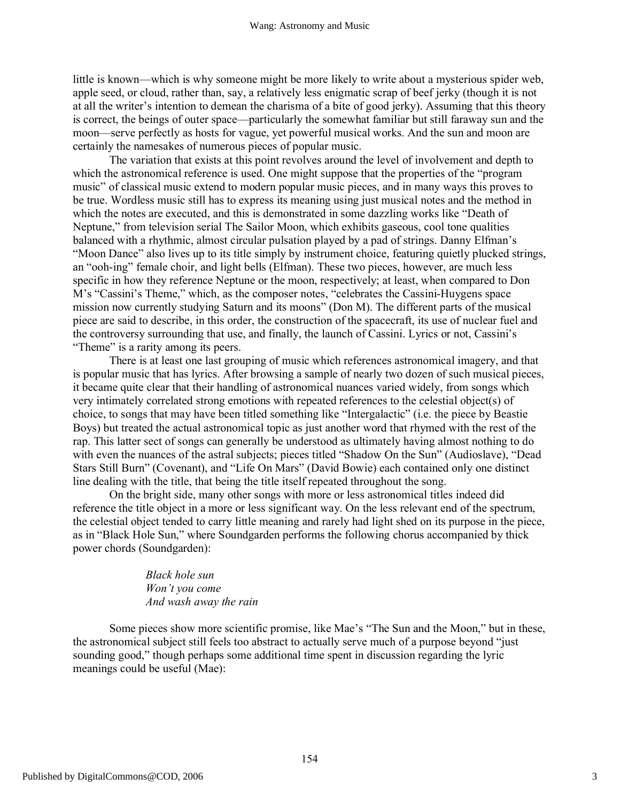little is known—which is why someone might be more likely to write about a mysterious spider web, apple seed, or cloud, rather than, say, a relatively less enigmatic scrap of beef jerky (though it is not at all the writer's intention to demean the charisma of a bite of good jerky). Assuming that this theory is correct, the beings of outer space—particularly the somewhat familiar but still faraway sun and the moon—serve perfectly as hosts for vague, yet powerful musical works. And the sun and moon are certainly the namesakes of numerous pieces of popular music.

The variation that exists at this point revolves around the level of involvement and depth to which the astronomical reference is used. One might suppose that the properties of the "program" music" of classical music extend to modern popular music pieces, and in many ways this proves to be true. Wordless music still has to express its meaning using just musical notes and the method in which the notes are executed, and this is demonstrated in some dazzling works like "Death of Neptune," from television serial The Sailor Moon, which exhibits gaseous, cool tone qualities balanced with a rhythmic, almost circular pulsation played by a pad of strings. Danny Elfman's "Moon Dance" also lives up to its title simply by instrument choice, featuring quietly plucked strings, an "ooh-ing" female choir, and light bells (Elfman). These two pieces, however, are much less specific in how they reference Neptune or the moon, respectively; at least, when compared to Don M's "Cassini's Theme," which, as the composer notes, "celebrates the Cassini-Huygens space mission now currently studying Saturn and its moons" (Don M). The different parts of the musical piece are said to describe, in this order, the construction of the spacecraft, its use of nuclear fuel and the controversy surrounding that use, and finally, the launch of Cassini. Lyrics or not, Cassini's "Theme" is a rarity among its peers.

There is at least one last grouping of music which references astronomical imagery, and that is popular music that has lyrics. After browsing a sample of nearly two dozen of such musical pieces, it became quite clear that their handling of astronomical nuances varied widely, from songs which very intimately correlated strong emotions with repeated references to the celestial object(s) of choice, to songs that may have been titled something like "Intergalactic" (i.e. the piece by Beastie Boys) but treated the actual astronomical topic as just another word that rhymed with the rest of the rap. This latter sect of songs can generally be understood as ultimately having almost nothing to do with even the nuances of the astral subjects; pieces titled "Shadow On the Sun" (Audioslave), "Dead Stars Still Burn" (Covenant), and "Life On Mars" (David Bowie) each contained only one distinct line dealing with the title, that being the title itself repeated throughout the song.

On the bright side, many other songs with more or less astronomical titles indeed did reference the title object in a more or less significant way. On the less relevant end of the spectrum, the celestial object tended to carry little meaning and rarely had light shed on its purpose in the piece, as in "Black Hole Sun," where Soundgarden performs the following chorus accompanied by thick power chords (Soundgarden):

> *Black hole sun Won't you come And wash away the rain*

Some pieces show more scientific promise, like Mae's "The Sun and the Moon," but in these, the astronomical subject still feels too abstract to actually serve much of a purpose beyond "just sounding good," though perhaps some additional time spent in discussion regarding the lyric meanings could be useful (Mae):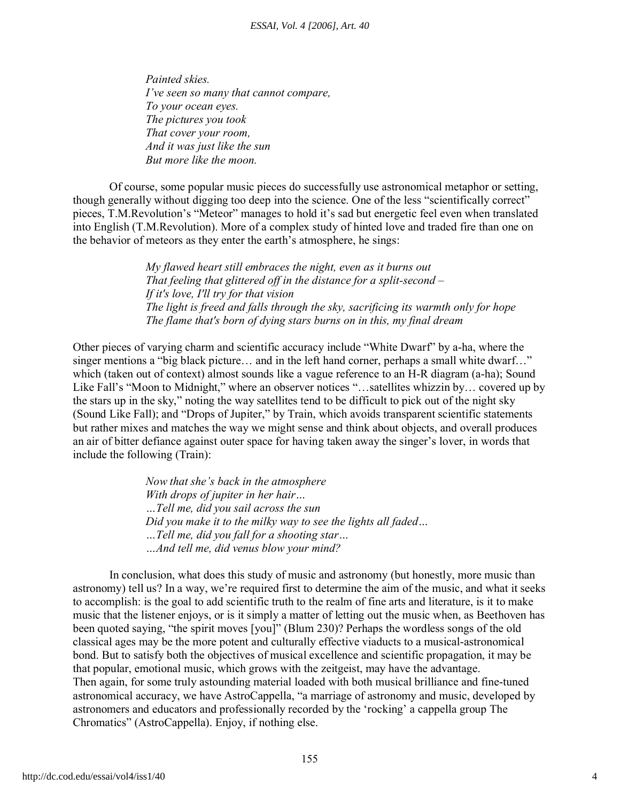*Painted skies. I've seen so many that cannot compare, To your ocean eyes. The pictures you took That cover your room, And it was just like the sun But more like the moon.*

Of course, some popular music pieces do successfully use astronomical metaphor or setting, though generally without digging too deep into the science. One of the less "scientifically correct" pieces, T.M.Revolution's "Meteor" manages to hold it's sad but energetic feel even when translated into English (T.M.Revolution). More of a complex study of hinted love and traded fire than one on the behavior of meteors as they enter the earth's atmosphere, he sings:

> *My flawed heart still embraces the night, even as it burns out That feeling that glittered off in the distance for a split-second – If it's love, I'll try for that vision The light is freed and falls through the sky, sacrificing its warmth only for hope The flame that's born of dying stars burns on in this, my final dream*

Other pieces of varying charm and scientific accuracy include "White Dwarf" by a-ha, where the singer mentions a "big black picture... and in the left hand corner, perhaps a small white dwarf..." which (taken out of context) almost sounds like a vague reference to an H-R diagram (a-ha); Sound Like Fall's "Moon to Midnight," where an observer notices "…satellites whizzin by… covered up by the stars up in the sky," noting the way satellites tend to be difficult to pick out of the night sky (Sound Like Fall); and "Drops of Jupiter," by Train, which avoids transparent scientific statements but rather mixes and matches the way we might sense and think about objects, and overall produces an air of bitter defiance against outer space for having taken away the singer's lover, in words that include the following (Train):

> *Now that she's back in the atmosphere With drops of jupiter in her hair… …Tell me, did you sail across the sun Did you make it to the milky way to see the lights all faded… …Tell me, did you fall for a shooting star… …And tell me, did venus blow your mind?*

In conclusion, what does this study of music and astronomy (but honestly, more music than astronomy) tell us? In a way, we're required first to determine the aim of the music, and what it seeks to accomplish: is the goal to add scientific truth to the realm of fine arts and literature, is it to make music that the listener enjoys, or is it simply a matter of letting out the music when, as Beethoven has been quoted saying, "the spirit moves [you]" (Blum 230)? Perhaps the wordless songs of the old classical ages may be the more potent and culturally effective viaducts to a musical-astronomical bond. But to satisfy both the objectives of musical excellence and scientific propagation, it may be that popular, emotional music, which grows with the zeitgeist, may have the advantage. Then again, for some truly astounding material loaded with both musical brilliance and fine-tuned astronomical accuracy, we have AstroCappella, "a marriage of astronomy and music, developed by astronomers and educators and professionally recorded by the 'rocking' a cappella group The Chromatics" (AstroCappella). Enjoy, if nothing else.